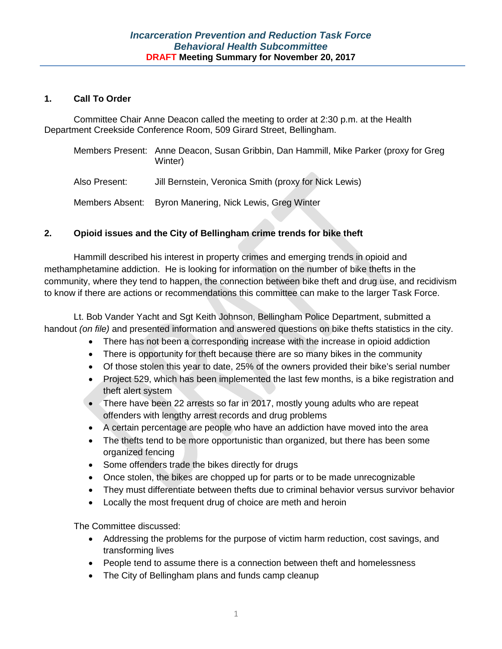# **1. Call To Order**

Committee Chair Anne Deacon called the meeting to order at 2:30 p.m. at the Health Department Creekside Conference Room, 509 Girard Street, Bellingham.

|               | Members Present: Anne Deacon, Susan Gribbin, Dan Hammill, Mike Parker (proxy for Greg<br>Winter) |
|---------------|--------------------------------------------------------------------------------------------------|
| Also Present: | Jill Bernstein, Veronica Smith (proxy for Nick Lewis)                                            |
|               | Members Absent: Byron Manering, Nick Lewis, Greg Winter                                          |

# **2. Opioid issues and the City of Bellingham crime trends for bike theft**

Hammill described his interest in property crimes and emerging trends in opioid and methamphetamine addiction. He is looking for information on the number of bike thefts in the community, where they tend to happen, the connection between bike theft and drug use, and recidivism to know if there are actions or recommendations this committee can make to the larger Task Force.

Lt. Bob Vander Yacht and Sgt Keith Johnson, Bellingham Police Department, submitted a handout *(on file)* and presented information and answered questions on bike thefts statistics in the city.

- There has not been a corresponding increase with the increase in opioid addiction
- There is opportunity for theft because there are so many bikes in the community
- Of those stolen this year to date, 25% of the owners provided their bike's serial number
- Project 529, which has been implemented the last few months, is a bike registration and theft alert system
- There have been 22 arrests so far in 2017, mostly young adults who are repeat offenders with lengthy arrest records and drug problems
- A certain percentage are people who have an addiction have moved into the area
- The thefts tend to be more opportunistic than organized, but there has been some organized fencing
- Some offenders trade the bikes directly for drugs
- Once stolen, the bikes are chopped up for parts or to be made unrecognizable
- They must differentiate between thefts due to criminal behavior versus survivor behavior
- Locally the most frequent drug of choice are meth and heroin

The Committee discussed:

- Addressing the problems for the purpose of victim harm reduction, cost savings, and transforming lives
- People tend to assume there is a connection between theft and homelessness
- The City of Bellingham plans and funds camp cleanup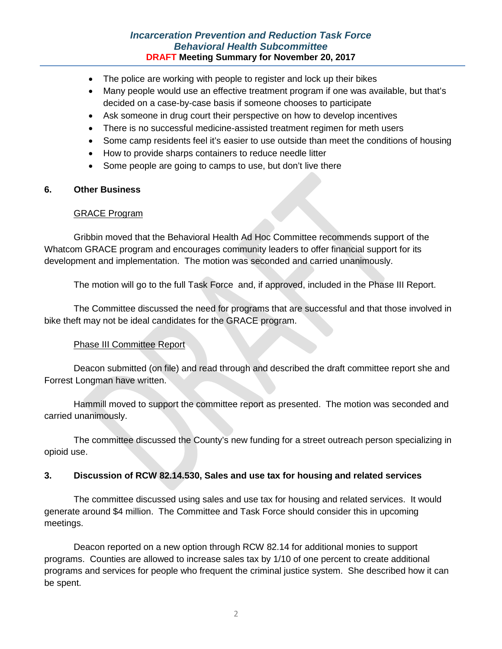# *Incarceration Prevention and Reduction Task Force Behavioral Health Subcommittee* **DRAFT Meeting Summary for November 20, 2017**

- The police are working with people to register and lock up their bikes
- Many people would use an effective treatment program if one was available, but that's decided on a case-by-case basis if someone chooses to participate
- Ask someone in drug court their perspective on how to develop incentives
- There is no successful medicine-assisted treatment regimen for meth users
- Some camp residents feel it's easier to use outside than meet the conditions of housing
- How to provide sharps containers to reduce needle litter
- Some people are going to camps to use, but don't live there

## **6. Other Business**

## GRACE Program

Gribbin moved that the Behavioral Health Ad Hoc Committee recommends support of the Whatcom GRACE program and encourages community leaders to offer financial support for its development and implementation. The motion was seconded and carried unanimously.

The motion will go to the full Task Force and, if approved, included in the Phase III Report.

The Committee discussed the need for programs that are successful and that those involved in bike theft may not be ideal candidates for the GRACE program.

# Phase III Committee Report

Deacon submitted (on file) and read through and described the draft committee report she and Forrest Longman have written.

Hammill moved to support the committee report as presented. The motion was seconded and carried unanimously.

The committee discussed the County's new funding for a street outreach person specializing in opioid use.

# **3. Discussion of RCW 82.14.530, Sales and use tax for housing and related services**

The committee discussed using sales and use tax for housing and related services. It would generate around \$4 million. The Committee and Task Force should consider this in upcoming meetings.

Deacon reported on a new option through RCW 82.14 for additional monies to support programs. Counties are allowed to increase sales tax by 1/10 of one percent to create additional programs and services for people who frequent the criminal justice system. She described how it can be spent.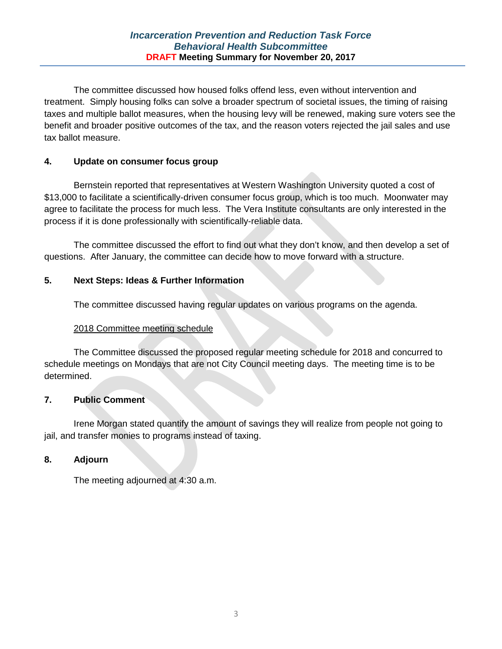The committee discussed how housed folks offend less, even without intervention and treatment. Simply housing folks can solve a broader spectrum of societal issues, the timing of raising taxes and multiple ballot measures, when the housing levy will be renewed, making sure voters see the benefit and broader positive outcomes of the tax, and the reason voters rejected the jail sales and use tax ballot measure.

# **4. Update on consumer focus group**

Bernstein reported that representatives at Western Washington University quoted a cost of \$13,000 to facilitate a scientifically-driven consumer focus group, which is too much. Moonwater may agree to facilitate the process for much less. The Vera Institute consultants are only interested in the process if it is done professionally with scientifically-reliable data.

The committee discussed the effort to find out what they don't know, and then develop a set of questions. After January, the committee can decide how to move forward with a structure.

# **5. Next Steps: Ideas & Further Information**

The committee discussed having regular updates on various programs on the agenda.

# 2018 Committee meeting schedule

The Committee discussed the proposed regular meeting schedule for 2018 and concurred to schedule meetings on Mondays that are not City Council meeting days. The meeting time is to be determined.

# **7. Public Comment**

Irene Morgan stated quantify the amount of savings they will realize from people not going to jail, and transfer monies to programs instead of taxing.

# **8. Adjourn**

The meeting adjourned at 4:30 a.m.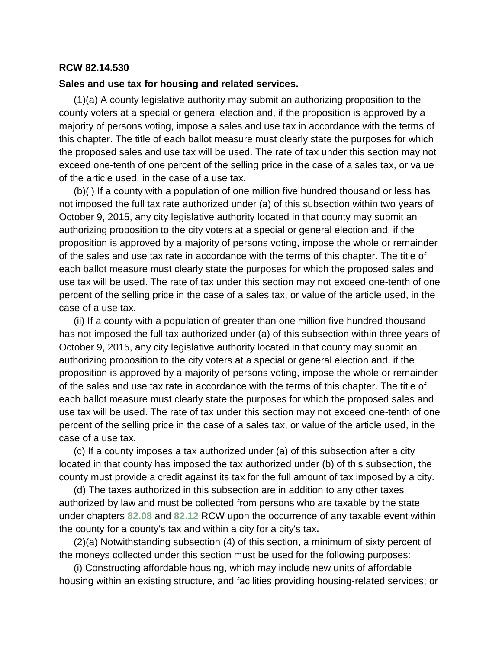# **RCW 82.14.530**

#### **Sales and use tax for housing and related services.**

(1)(a) A county legislative authority may submit an authorizing proposition to the county voters at a special or general election and, if the proposition is approved by a majority of persons voting, impose a sales and use tax in accordance with the terms of this chapter. The title of each ballot measure must clearly state the purposes for which the proposed sales and use tax will be used. The rate of tax under this section may not exceed one-tenth of one percent of the selling price in the case of a sales tax, or value of the article used, in the case of a use tax.

(b)(i) If a county with a population of one million five hundred thousand or less has not imposed the full tax rate authorized under (a) of this subsection within two years of October 9, 2015, any city legislative authority located in that county may submit an authorizing proposition to the city voters at a special or general election and, if the proposition is approved by a majority of persons voting, impose the whole or remainder of the sales and use tax rate in accordance with the terms of this chapter. The title of each ballot measure must clearly state the purposes for which the proposed sales and use tax will be used. The rate of tax under this section may not exceed one-tenth of one percent of the selling price in the case of a sales tax, or value of the article used, in the case of a use tax.

(ii) If a county with a population of greater than one million five hundred thousand has not imposed the full tax authorized under (a) of this subsection within three years of October 9, 2015, any city legislative authority located in that county may submit an authorizing proposition to the city voters at a special or general election and, if the proposition is approved by a majority of persons voting, impose the whole or remainder of the sales and use tax rate in accordance with the terms of this chapter. The title of each ballot measure must clearly state the purposes for which the proposed sales and use tax will be used. The rate of tax under this section may not exceed one-tenth of one percent of the selling price in the case of a sales tax, or value of the article used, in the case of a use tax.

(c) If a county imposes a tax authorized under (a) of this subsection after a city located in that county has imposed the tax authorized under (b) of this subsection, the county must provide a credit against its tax for the full amount of tax imposed by a city.

(d) The taxes authorized in this subsection are in addition to any other taxes authorized by law and must be collected from persons who are taxable by the state under chapters **[82.08](http://app.leg.wa.gov/RCW/default.aspx?cite=82.08)** and **[82.12](http://app.leg.wa.gov/RCW/default.aspx?cite=82.12)** RCW upon the occurrence of any taxable event within the county for a county's tax and within a city for a city's tax**.**

(2)(a) Notwithstanding subsection (4) of this section, a minimum of sixty percent of the moneys collected under this section must be used for the following purposes:

(i) Constructing affordable housing, which may include new units of affordable housing within an existing structure, and facilities providing housing-related services; or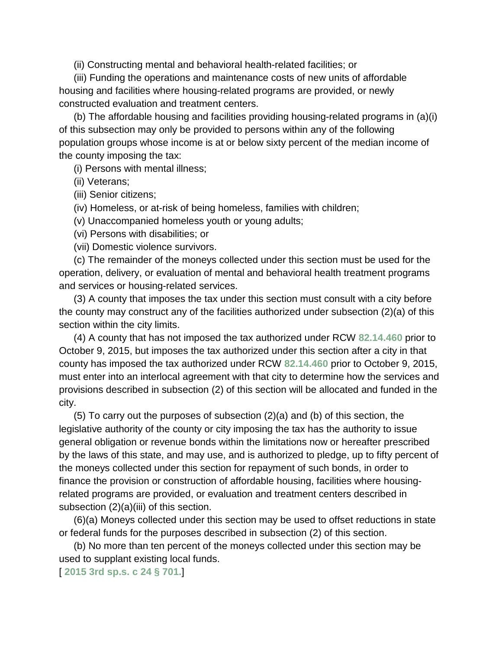(ii) Constructing mental and behavioral health-related facilities; or

(iii) Funding the operations and maintenance costs of new units of affordable housing and facilities where housing-related programs are provided, or newly constructed evaluation and treatment centers.

(b) The affordable housing and facilities providing housing-related programs in (a)(i) of this subsection may only be provided to persons within any of the following population groups whose income is at or below sixty percent of the median income of the county imposing the tax:

(i) Persons with mental illness;

(ii) Veterans;

(iii) Senior citizens;

(iv) Homeless, or at-risk of being homeless, families with children;

(v) Unaccompanied homeless youth or young adults;

(vi) Persons with disabilities; or

(vii) Domestic violence survivors.

(c) The remainder of the moneys collected under this section must be used for the operation, delivery, or evaluation of mental and behavioral health treatment programs and services or housing-related services.

(3) A county that imposes the tax under this section must consult with a city before the county may construct any of the facilities authorized under subsection (2)(a) of this section within the city limits.

(4) A county that has not imposed the tax authorized under RCW **[82.14.460](http://app.leg.wa.gov/RCW/default.aspx?cite=82.14.460)** prior to October 9, 2015, but imposes the tax authorized under this section after a city in that county has imposed the tax authorized under RCW **[82.14.460](http://app.leg.wa.gov/RCW/default.aspx?cite=82.14.460)** prior to October 9, 2015, must enter into an interlocal agreement with that city to determine how the services and provisions described in subsection (2) of this section will be allocated and funded in the city.

(5) To carry out the purposes of subsection (2)(a) and (b) of this section, the legislative authority of the county or city imposing the tax has the authority to issue general obligation or revenue bonds within the limitations now or hereafter prescribed by the laws of this state, and may use, and is authorized to pledge, up to fifty percent of the moneys collected under this section for repayment of such bonds, in order to finance the provision or construction of affordable housing, facilities where housingrelated programs are provided, or evaluation and treatment centers described in subsection (2)(a)(iii) of this section.

(6)(a) Moneys collected under this section may be used to offset reductions in state or federal funds for the purposes described in subsection (2) of this section.

(b) No more than ten percent of the moneys collected under this section may be used to supplant existing local funds.

[ **[2015 3rd sp.s. c 24 § 701.](http://lawfilesext.leg.wa.gov/biennium/2015-16/Pdf/Bills/Session%20Laws/House/2263-S.SL.pdf?cite=2015%203rd%20sp.s.%20c%2024%20%C2%A7%20701.)**]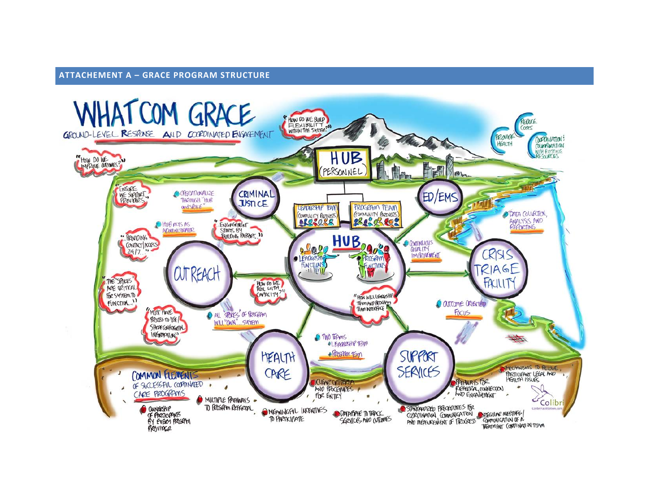#### **ATTACHEMENT A – GRACE PROGRAM STRUCTURE**

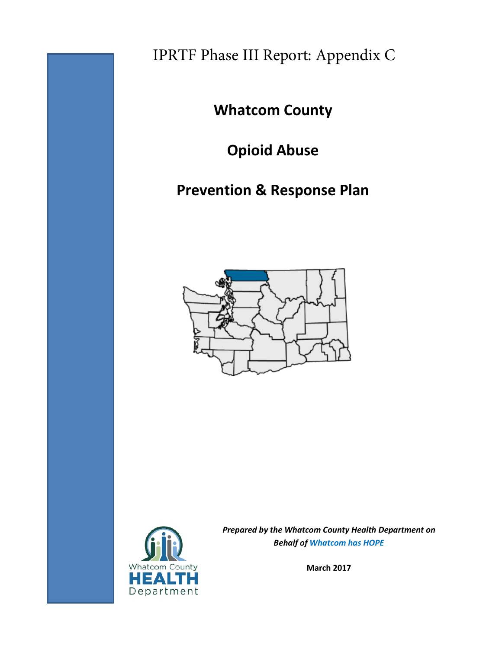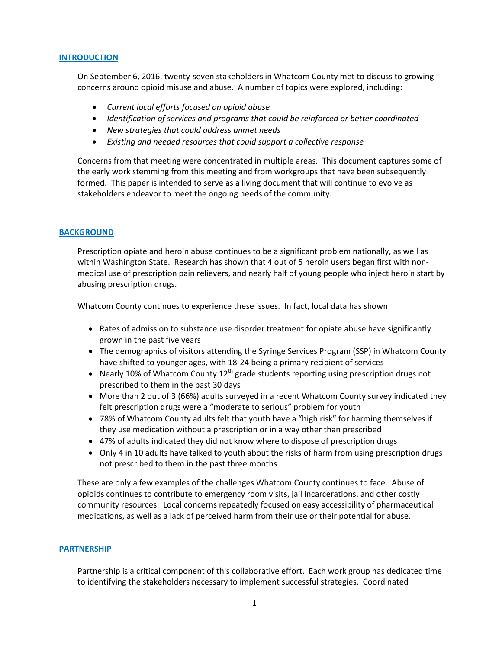#### **INTRODUCTION**

On September 6, 2016, twenty-seven stakeholders in Whatcom County met to discuss to growing concerns around opioid misuse and abuse. A number of topics were explored, including:

- *Current local efforts focused on opioid abuse*
- *Identification of services and programs that could be reinforced or better coordinated*
- *New strategies that could address unmet needs*
- *Existing and needed resources that could support a collective response*

Concerns from that meeting were concentrated in multiple areas. This document captures some of the early work stemming from this meeting and from workgroups that have been subsequently formed. This paper is intended to serve as a living document that will continue to evolve as stakeholders endeavor to meet the ongoing needs of the community.

#### **BACKGROUND**

Prescription opiate and heroin abuse continues to be a significant problem nationally, as well as within Washington State. Research has shown that 4 out of 5 heroin users began first with nonmedical use of prescription pain relievers, and nearly half of young people who inject heroin start by abusing prescription drugs.

Whatcom County continues to experience these issues. In fact, local data has shown:

- Rates of admission to substance use disorder treatment for opiate abuse have significantly grown in the past five years
- The demographics of visitors attending the Syringe Services Program (SSP) in Whatcom County have shifted to younger ages, with 18-24 being a primary recipient of services
- Nearly 10% of Whatcom County  $12^{th}$  grade students reporting using prescription drugs not prescribed to them in the past 30 days
- More than 2 out of 3 (66%) adults surveyed in a recent Whatcom County survey indicated they felt prescription drugs were a "moderate to serious" problem for youth
- 78% of Whatcom County adults felt that youth have a "high risk" for harming themselves if they use medication without a prescription or in a way other than prescribed
- 47% of adults indicated they did not know where to dispose of prescription drugs
- Only 4 in 10 adults have talked to youth about the risks of harm from using prescription drugs not prescribed to them in the past three months

These are only a few examples of the challenges Whatcom County continues to face. Abuse of opioids continues to contribute to emergency room visits, jail incarcerations, and other costly community resources. Local concerns repeatedly focused on easy accessibility of pharmaceutical medications, as well as a lack of perceived harm from their use or their potential for abuse.

#### **PARTNERSHIP**

Partnership is a critical component of this collaborative effort. Each work group has dedicated time to identifying the stakeholders necessary to implement successful strategies. Coordinated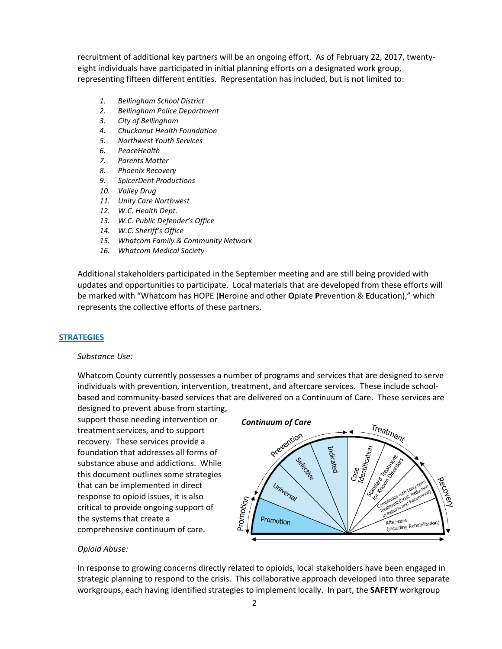recruitment of additional key partners will be an ongoing effort. As of February 22, 2017, twentyeight individuals have participated in initial planning efforts on a designated work group, representing fifteen different entities. Representation has included, but is not limited to:

- *1. Bellingham School District*
- *2. Bellingham Police Department*
- *3. City of Bellingham*
- *4. Chuckanut Health Foundation*
- *5. Northwest Youth Services*
- *6. PeaceHealth*
- *7. Parents Matter*
- *8. Phoenix Recovery*
- *9. SpicerDent Productions*
- *10. Valley Drug*
- *11. Unity Care Northwest*
- *12. W.C. Health Dept.*
- *13. W.C. Public Defender's Office*
- *14. W.C. Sheriff's Office*
- *15. Whatcom Family & Community Network*
- *16. Whatcom Medical Society*

Additional stakeholders participated in the September meeting and are still being provided with updates and opportunities to participate. Local materials that are developed from these efforts will be marked with "Whatcom has HOPE (**H**eroine and other **O**piate **P**revention & **E**ducation)," which represents the collective efforts of these partners.

#### **STRATEGIES**

#### *Substance Use:*

Whatcom County currently possesses a number of programs and services that are designed to serve individuals with prevention, intervention, treatment, and aftercare services. These include schoolbased and community-based services that are delivered on a Continuum of Care. These services are

designed to prevent abuse from starting, support those needing intervention or treatment services, and to support recovery. These services provide a foundation that addresses all forms of substance abuse and addictions. While this document outlines some strategies that can be implemented in direct response to opioid issues, it is also critical to provide ongoing support of the systems that create a comprehensive continuum of care.



#### *Opioid Abuse:*

In response to growing concerns directly related to opioids, local stakeholders have been engaged in strategic planning to respond to the crisis. This collaborative approach developed into three separate workgroups, each having identified strategies to implement locally. In part, the **SAFETY** workgroup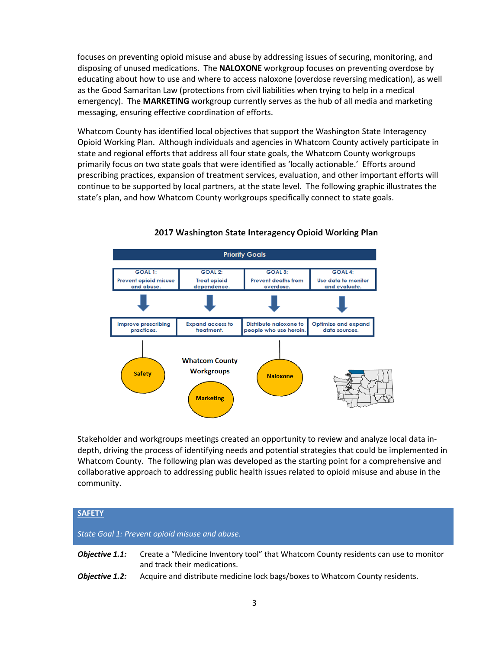focuses on preventing opioid misuse and abuse by addressing issues of securing, monitoring, and disposing of unused medications. The **NALOXONE** workgroup focuses on preventing overdose by educating about how to use and where to access naloxone (overdose reversing medication), as well as the Good Samaritan Law (protections from civil liabilities when trying to help in a medical emergency). The **MARKETING** workgroup currently serves as the hub of all media and marketing messaging, ensuring effective coordination of efforts.

Whatcom County has identified local objectives that support the [Washington State Interagency](http://stopoverdose.org/docs/StateODResponsePlan2017.pdf)  [Opioid Working Plan.](http://stopoverdose.org/docs/StateODResponsePlan2017.pdf) Although individuals and agencies in Whatcom County actively participate in state and regional efforts that address all four state goals, the Whatcom County workgroups primarily focus on two state goals that were identified as 'locally actionable.' Efforts around prescribing practices, expansion of treatment services, evaluation, and other important efforts will continue to be supported by local partners, at the state level. The following graphic illustrates the state's plan, and how Whatcom County workgroups specifically connect to state goals.



#### 2017 Washington State Interagency Opioid Working Plan

Stakeholder and workgroups meetings created an opportunity to review and analyze local data indepth, driving the process of identifying needs and potential strategies that could be implemented in Whatcom County. The following plan was developed as the starting point for a comprehensive and collaborative approach to addressing public health issues related to opioid misuse and abuse in the community.

| <b>SAFETY</b>  |                                                                                                                     |
|----------------|---------------------------------------------------------------------------------------------------------------------|
|                | State Goal 1: Prevent opioid misuse and abuse.                                                                      |
| Objective 1.1: | Create a "Medicine Inventory tool" that Whatcom County residents can use to monitor<br>and track their medications. |
| Objective 1.2: | Acquire and distribute medicine lock bags/boxes to Whatcom County residents.                                        |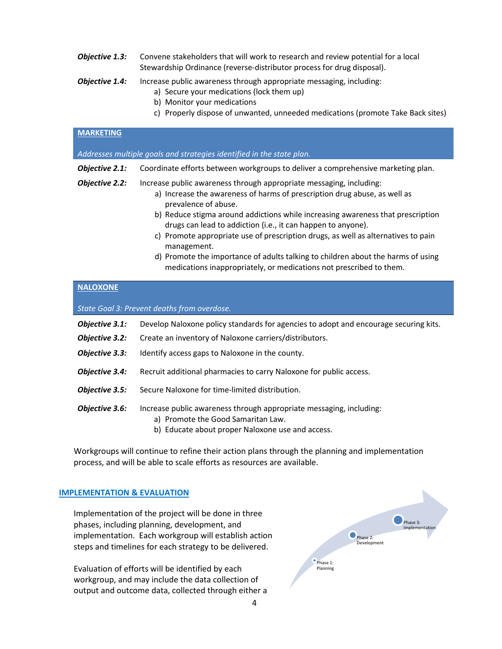- **Objective 1.3:** Convene stakeholders that will work to research and review potential for a local Stewardship Ordinance (reverse-distributor process for drug disposal).
- **Objective 1.4:** Increase public awareness through appropriate messaging, including:
	- a) Secure your medications (lock them up)
	- b) Monitor your medications
	- c) Properly dispose of unwanted, unneeded medications (promote Take Back sites)

| <b>MARKETING</b>                                                      |                                                                                                                                                                                                                                                                                                                                                                                                                                                                                                                                                                                            |  |  |
|-----------------------------------------------------------------------|--------------------------------------------------------------------------------------------------------------------------------------------------------------------------------------------------------------------------------------------------------------------------------------------------------------------------------------------------------------------------------------------------------------------------------------------------------------------------------------------------------------------------------------------------------------------------------------------|--|--|
| Addresses multiple goals and strategies identified in the state plan. |                                                                                                                                                                                                                                                                                                                                                                                                                                                                                                                                                                                            |  |  |
| Objective 2.1:                                                        | Coordinate efforts between workgroups to deliver a comprehensive marketing plan.                                                                                                                                                                                                                                                                                                                                                                                                                                                                                                           |  |  |
| Objective 2.2:                                                        | Increase public awareness through appropriate messaging, including:<br>a) Increase the awareness of harms of prescription drug abuse, as well as<br>prevalence of abuse.<br>b) Reduce stigma around addictions while increasing awareness that prescription<br>drugs can lead to addiction (i.e., it can happen to anyone).<br>c) Promote appropriate use of prescription drugs, as well as alternatives to pain<br>management.<br>d) Promote the importance of adults talking to children about the harms of using<br>medications inappropriately, or medications not prescribed to them. |  |  |

#### **NALOXONE**

*State Goal 3: Prevent deaths from overdose.*

| Objective 3.1: | Develop Naloxone policy standards for agencies to adopt and encourage securing kits.                                                                          |
|----------------|---------------------------------------------------------------------------------------------------------------------------------------------------------------|
| Objective 3.2: | Create an inventory of Naloxone carriers/distributors.                                                                                                        |
| Objective 3.3: | Identify access gaps to Naloxone in the county.                                                                                                               |
| Objective 3.4: | Recruit additional pharmacies to carry Naloxone for public access.                                                                                            |
| Objective 3.5: | Secure Naloxone for time-limited distribution.                                                                                                                |
| Objective 3.6: | Increase public awareness through appropriate messaging, including:<br>a) Promote the Good Samaritan Law.<br>b) Educate about proper Naloxone use and access. |

Workgroups will continue to refine their action plans through the planning and implementation process, and will be able to scale efforts as resources are available.

#### **IMPLEMENTATION & EVALUATION**

Implementation of the project will be done in three phases, including planning, development, and implementation. Each workgroup will establish action steps and timelines for each strategy to be delivered.

Evaluation of efforts will be identified by each workgroup, and may include the data collection of output and outcome data, collected through either a

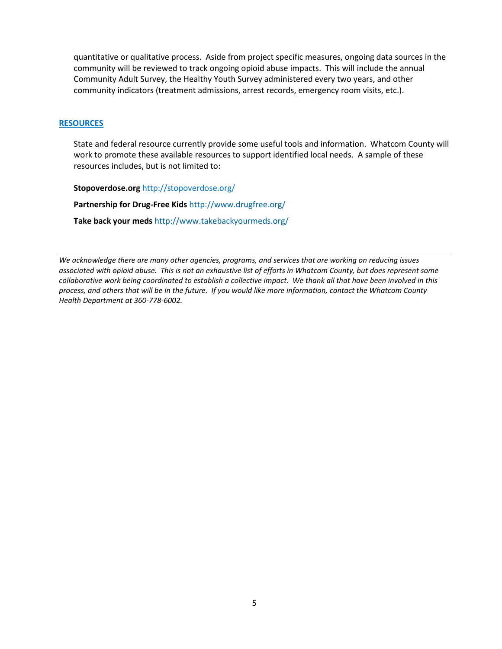quantitative or qualitative process. Aside from project specific measures, ongoing data sources in the community will be reviewed to track ongoing opioid abuse impacts. This will include the annual Community Adult Survey, the Healthy Youth Survey administered every two years, and other community indicators (treatment admissions, arrest records, emergency room visits, etc.).

#### **RESOURCES**

State and federal resource currently provide some useful tools and information. Whatcom County will work to promote these available resources to support identified local needs. A sample of these resources includes, but is not limited to:

**Stopoverdose.org** <http://stopoverdose.org/>

**Partnership for Drug-Free Kids** <http://www.drugfree.org/>

**Take back your meds** <http://www.takebackyourmeds.org/>

*We acknowledge there are many other agencies, programs, and services that are working on reducing issues associated with opioid abuse. This is not an exhaustive list of efforts in Whatcom County, but does represent some collaborative work being coordinated to establish a collective impact. We thank all that have been involved in this process, and others that will be in the future. If you would like more information, contact the Whatcom County Health Department at 360-778-6002.*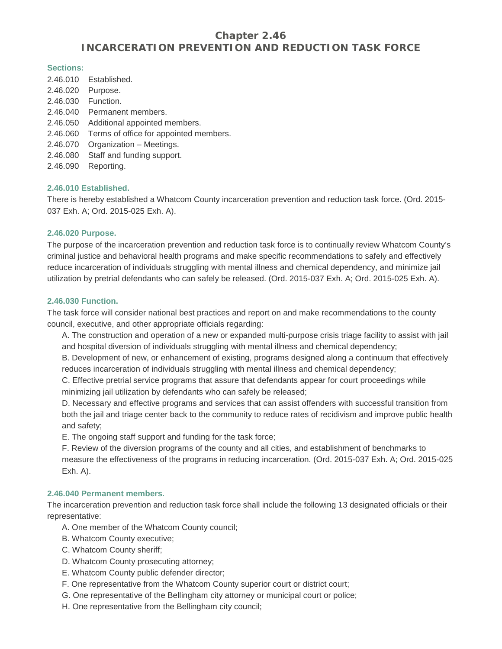# **Chapter 2.46 INCARCERATION PREVENTION AND REDUCTION TASK FORCE**

#### **Sections:**

| 2.46.010 | Established.                           |
|----------|----------------------------------------|
| 2.46.020 | Purpose.                               |
| 2.46.030 | Function.                              |
| 2.46.040 | Permanent members.                     |
| 2.46.050 | Additional appointed members.          |
| 2.46.060 | Terms of office for appointed members. |
| 2.46.070 | Organization - Meetings.               |
| 2.46.080 | Staff and funding support.             |
| 2.46.090 | Reporting.                             |

#### **2.46.010 Established.**

There is hereby established a Whatcom County incarceration prevention and reduction task force. (Ord. 2015- 037 Exh. A; Ord. 2015-025 Exh. A).

#### **2.46.020 Purpose.**

The purpose of the incarceration prevention and reduction task force is to continually review Whatcom County's criminal justice and behavioral health programs and make specific recommendations to safely and effectively reduce incarceration of individuals struggling with mental illness and chemical dependency, and minimize jail utilization by pretrial defendants who can safely be released. (Ord. 2015-037 Exh. A; Ord. 2015-025 Exh. A).

#### **2.46.030 Function.**

The task force will consider national best practices and report on and make recommendations to the county council, executive, and other appropriate officials regarding:

A. The construction and operation of a new or expanded multi-purpose crisis triage facility to assist with jail and hospital diversion of individuals struggling with mental illness and chemical dependency;

B. Development of new, or enhancement of existing, programs designed along a continuum that effectively reduces incarceration of individuals struggling with mental illness and chemical dependency;

C. Effective pretrial service programs that assure that defendants appear for court proceedings while minimizing jail utilization by defendants who can safely be released;

D. Necessary and effective programs and services that can assist offenders with successful transition from both the jail and triage center back to the community to reduce rates of recidivism and improve public health and safety;

E. The ongoing staff support and funding for the task force;

F. Review of the diversion programs of the county and all cities, and establishment of benchmarks to measure the effectiveness of the programs in reducing incarceration. (Ord. 2015-037 Exh. A; Ord. 2015-025 Exh. A).

## **2.46.040 Permanent members.**

The incarceration prevention and reduction task force shall include the following 13 designated officials or their representative:

A. One member of the Whatcom County council;

- B. Whatcom County executive;
- C. Whatcom County sheriff;
- D. Whatcom County prosecuting attorney;
- E. Whatcom County public defender director;
- F. One representative from the Whatcom County superior court or district court;
- G. One representative of the Bellingham city attorney or municipal court or police;
- H. One representative from the Bellingham city council;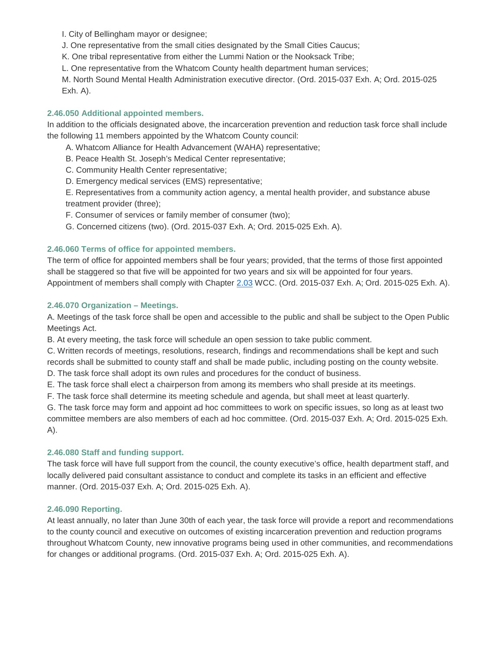I. City of Bellingham mayor or designee;

J. One representative from the small cities designated by the Small Cities Caucus;

K. One tribal representative from either the Lummi Nation or the Nooksack Tribe;

L. One representative from the Whatcom County health department human services;

M. North Sound Mental Health Administration executive director. (Ord. 2015-037 Exh. A; Ord. 2015-025 Exh. A).

## **2.46.050 Additional appointed members.**

In addition to the officials designated above, the incarceration prevention and reduction task force shall include the following 11 members appointed by the Whatcom County council:

- A. Whatcom Alliance for Health Advancement (WAHA) representative;
- B. Peace Health St. Joseph's Medical Center representative;
- C. Community Health Center representative;
- D. Emergency medical services (EMS) representative;

E. Representatives from a community action agency, a mental health provider, and substance abuse treatment provider (three);

- F. Consumer of services or family member of consumer (two);
- G. Concerned citizens (two). (Ord. 2015-037 Exh. A; Ord. 2015-025 Exh. A).

## **2.46.060 Terms of office for appointed members.**

The term of office for appointed members shall be four years; provided, that the terms of those first appointed shall be staggered so that five will be appointed for two years and six will be appointed for four years. Appointment of members shall comply with Chapter [2.03](http://www.codepublishing.com/WA/WhatcomCounty/%23!/WhatcomCounty02/WhatcomCounty0203.html%232.03) WCC. (Ord. 2015-037 Exh. A; Ord. 2015-025 Exh. A).

#### **2.46.070 Organization – Meetings.**

A. Meetings of the task force shall be open and accessible to the public and shall be subject to the Open Public Meetings Act.

B. At every meeting, the task force will schedule an open session to take public comment.

C. Written records of meetings, resolutions, research, findings and recommendations shall be kept and such records shall be submitted to county staff and shall be made public, including posting on the county website.

D. The task force shall adopt its own rules and procedures for the conduct of business.

E. The task force shall elect a chairperson from among its members who shall preside at its meetings.

F. The task force shall determine its meeting schedule and agenda, but shall meet at least quarterly.

G. The task force may form and appoint ad hoc committees to work on specific issues, so long as at least two committee members are also members of each ad hoc committee. (Ord. 2015-037 Exh. A; Ord. 2015-025 Exh. A).

#### **2.46.080 Staff and funding support.**

The task force will have full support from the council, the county executive's office, health department staff, and locally delivered paid consultant assistance to conduct and complete its tasks in an efficient and effective manner. (Ord. 2015-037 Exh. A; Ord. 2015-025 Exh. A).

#### **2.46.090 Reporting.**

At least annually, no later than June 30th of each year, the task force will provide a report and recommendations to the county council and executive on outcomes of existing incarceration prevention and reduction programs throughout Whatcom County, new innovative programs being used in other communities, and recommendations for changes or additional programs. (Ord. 2015-037 Exh. A; Ord. 2015-025 Exh. A).